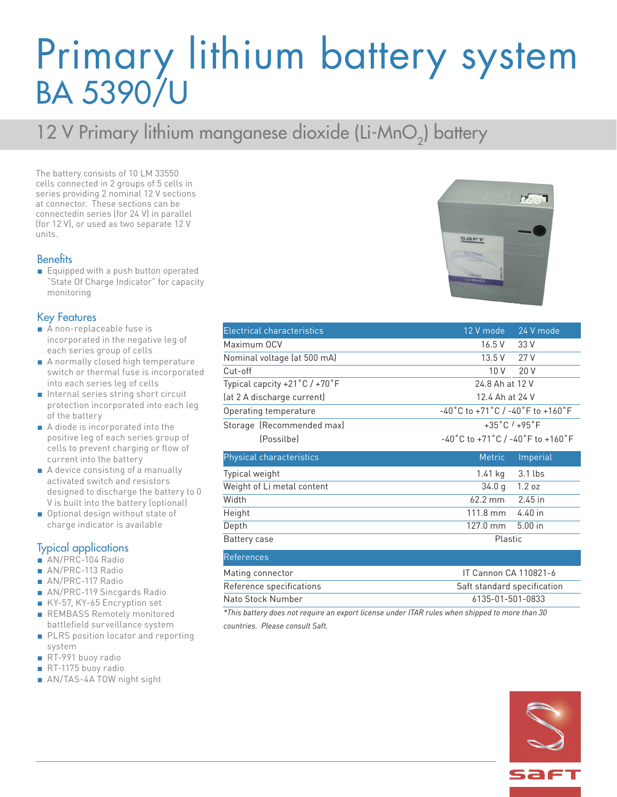## Primary lithium battery system BA 5390/U

### 12 V Primary lithium manganese dioxide (Li-MnO<sub>2</sub>) battery

The battery consists of 10 LM 33550 cells connected in 2 groups of 5 cells in series providing 2 nominal 12 V sections at connector. These sections can be connectedin series (for 24 V) in parallel (for 12 V), or used as two separate 12 V units.

#### **Benefits**

■ Equipped with a push button operated "State Of Charge Indicator" for capacity monitoring

#### Key Features

- A non-replaceable fuse is incorporated in the negative leg of each series group of cells
- A normally closed high temperature switch or thermal fuse is incorporated into each series leg of cells
- Internal series string short circuit protection incorporated into each leg of the battery
- A diode is incorporated into the positive leg of each series group of cells to prevent charging or flow of current into the battery
- A device consisting of a manually activated switch and resistors designed to discharge the battery to 0 V is built into the battery (optional)
- Optional design without state of charge indicator is available

#### Typical applications

- AN/PRC-104 Radio
- AN/PRC-113 Radio
- AN/PRC-117 Radio
- AN/PRC-119 Sincgards Radio
- KY-57, KY-65 Encryption set
- REMBASS Remotely monitored battlefield surveillance system
- PLRS position locator and reporting system
- RT-991 buoy radio
- RT-1175 buoy radio
- AN/TAS-4A TOW night sight

| <b>Electrical characteristics</b> | 12 V mode<br>24 V mode                                                      |  |
|-----------------------------------|-----------------------------------------------------------------------------|--|
| Maximum OCV                       | 16.5 V<br>33 V                                                              |  |
| Nominal voltage (at 500 mA)       | 13.5 V<br>27 V                                                              |  |
| Cut-off                           | 10 <sub>V</sub><br>20V                                                      |  |
| Typical capcity +21°C / +70°F     | 24.8 Ah at 12 V                                                             |  |
| (at 2 A discharge current)        | 12.4 Ah at 24 V                                                             |  |
| Operating temperature             | -40°C to +71°C / -40°F to +160°F                                            |  |
| Storage (Recommended max)         | $+35^{\circ}$ C / $+95^{\circ}$ F                                           |  |
| (Possilbe)                        | $-40^{\circ}$ C to +71 $^{\circ}$ C / -40 $^{\circ}$ F to +160 $^{\circ}$ F |  |
| Physical characteristics          | <b>Metric</b><br>Imperial                                                   |  |
| Typical weight                    | $3.1$ lbs<br>1.41 kg                                                        |  |
| Weight of Li metal content        | 1.2 oz<br>34.0 g                                                            |  |
| Width                             | 62.2 mm<br>2.45 in                                                          |  |
| Height                            | 111.8 mm<br>$4.40$ in                                                       |  |
| Depth                             | $5.00$ in<br>127.0 mm                                                       |  |
| Battery case                      | Plastic                                                                     |  |
| <b>References</b>                 |                                                                             |  |
| Mating connector                  | IT Cannon CA 110821-6                                                       |  |
| Reference specifications          | Saft standard specification                                                 |  |
| Nato Stock Number                 | 6135-01-501-0833                                                            |  |

*\*This battery does not require an export license under ITAR rules when shipped to more than 30 countries. Please consult Saft.*





| Height                   |  |
|--------------------------|--|
| Depth                    |  |
| Battery case             |  |
| References               |  |
| Mating connector         |  |
| Reference specifications |  |